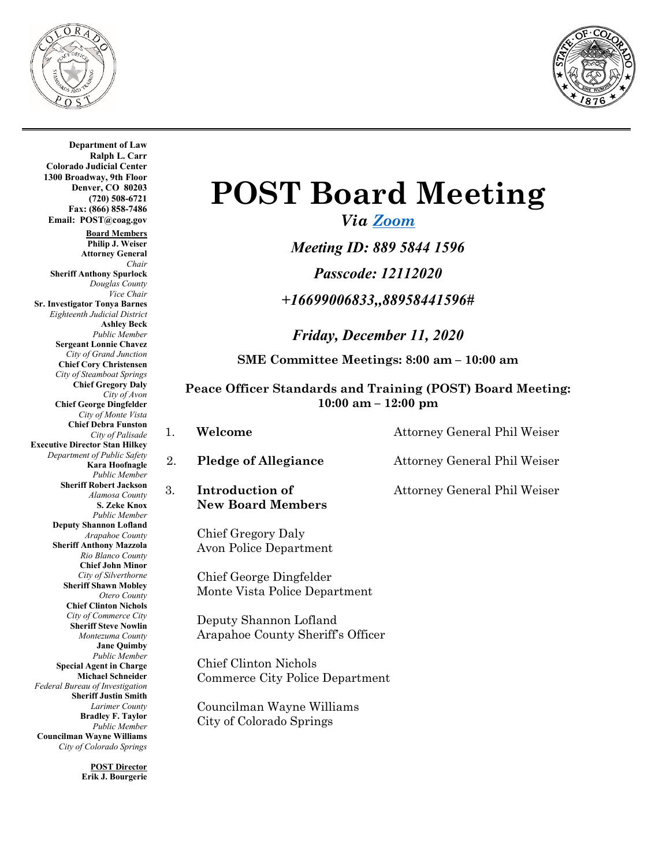



**Department of Law Ralph L. Carr Colorado Judicial Center 1300 Broadway, 9th Floor Denver, CO 80203 (720) 508-6721 Fax: (866) 858-7486 Email: POST@coag.gov Board Members Philip J. Weiser Attorney General** *Chair* **Sheriff Anthony Spurlock** *Douglas County Vice Chair*  **Sr. Investigator Tonya Barnes** *Eighteenth Judicial District* **Ashley Beck** *Public Member* **Sergeant Lonnie Chavez** *City of Grand Junction* **Chief Cory Christensen** *City of Steamboat Springs* **Chief Gregory Daly** *City of Avon* **Chief George Dingfelder** *City of Monte Vista* **Chief Debra Funston** *City of Palisade* **Executive Director Stan Hilkey** *Department of Public Safety* **Kara Hoofnagle** *Public Member* **Sheriff Robert Jackson** *Alamosa County* **S. Zeke Knox** *Public Member* **Deputy Shannon Lofland** *Arapahoe County* **Sheriff Anthony Mazzola** *Rio Blanco County* **Chief John Minor** *City of Silverthorne* **Sheriff Shawn Mobley** *Otero County* **Chief Clinton Nichols** *City of Commerce City* **Sheriff Steve Nowlin** *Montezuma County* **Jane Quimby** *Public Member* **Special Agent in Charge Michael Schneider** *Federal Bureau of Investigation* **Sheriff Justin Smith** *Larimer County* **Bradley F. Taylor** *Public Member* **Councilman Wayne Williams**  *City of Colorado Springs*

> **POST Director Erik J. Bourgerie**

# **POST Board Meeting**

*Via [Zoom](https://us02web.zoom.us/j/88958441596?pwd=RllZT0M0ejRhMWpkUjFwczNHWCtSQT09) Meeting ID: 889 5844 1596 Passcode: 12112020 +16699006833,,88958441596#*

*Friday, December 11, 2020* **SME Committee Meetings: 8:00 am – 10:00 am**

**Peace Officer Standards and Training (POST) Board Meeting: 10:00 am – 12:00 pm**

- 1. **Welcome** Attorney General Phil Weiser
	-
	- **New Board Members**

Chief Gregory Daly Avon Police Department

Chief George Dingfelder Monte Vista Police Department

Deputy Shannon Lofland Arapahoe County Sheriff's Officer

Chief Clinton Nichols Commerce City Police Department

Councilman Wayne Williams City of Colorado Springs

2. **Pledge of Allegiance** Attorney General Phil Weiser

3. **Introduction of Attorney General Phil Weiser**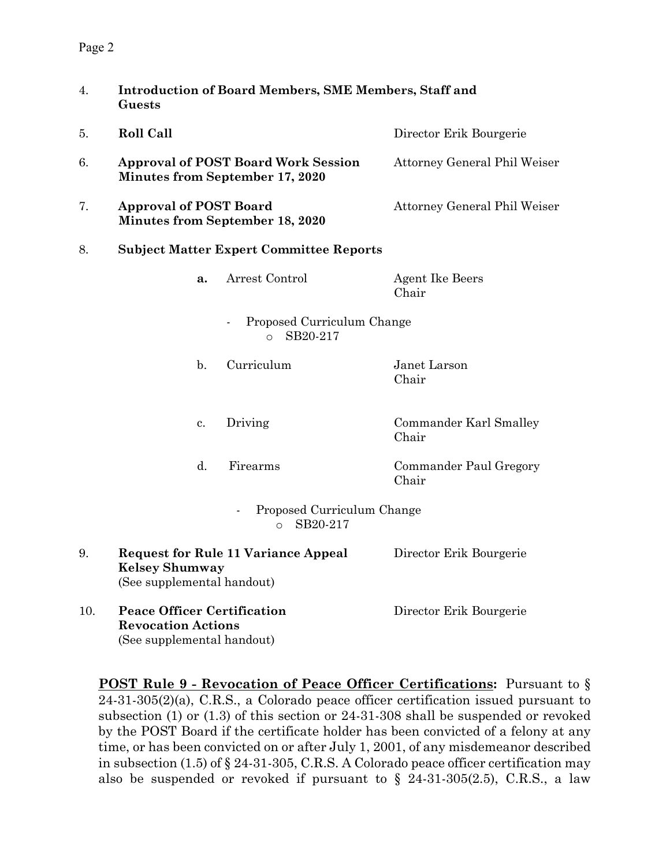#### Page 2

| 4.  | <b>Introduction of Board Members, SME Members, Staff and</b><br>Guests                        |                |                                                    |                                 |  |  |
|-----|-----------------------------------------------------------------------------------------------|----------------|----------------------------------------------------|---------------------------------|--|--|
| 5.  | <b>Roll Call</b>                                                                              |                |                                                    | Director Erik Bourgerie         |  |  |
| 6.  | <b>Approval of POST Board Work Session</b><br><b>Minutes from September 17, 2020</b>          |                |                                                    | Attorney General Phil Weiser    |  |  |
| 7.  | <b>Approval of POST Board</b><br><b>Minutes from September 18, 2020</b>                       |                |                                                    | Attorney General Phil Weiser    |  |  |
| 8.  | <b>Subject Matter Expert Committee Reports</b>                                                |                |                                                    |                                 |  |  |
|     |                                                                                               | a.             | Arrest Control                                     | <b>Agent Ike Beers</b><br>Chair |  |  |
|     |                                                                                               |                | Proposed Curriculum Change<br>SB20-217<br>$\Omega$ |                                 |  |  |
|     |                                                                                               | $\mathbf{b}$ . | Curriculum                                         | Janet Larson<br>Chair           |  |  |
|     |                                                                                               | c.             | Driving                                            | Commander Karl Smalley<br>Chair |  |  |
|     |                                                                                               | $\mathbf{d}$ . | Firearms                                           | Commander Paul Gregory<br>Chair |  |  |
|     |                                                                                               |                | Proposed Curriculum Change<br>SB20-217<br>$\Omega$ |                                 |  |  |
| 9.  | <b>Kelsey Shumway</b><br>(See supplemental handout)                                           |                | <b>Request for Rule 11 Variance Appeal</b>         | Director Erik Bourgerie         |  |  |
| 10. | <b>Peace Officer Certification</b><br><b>Revocation Actions</b><br>(See supplemental handout) |                |                                                    | Director Erik Bourgerie         |  |  |

**POST Rule 9 - Revocation of Peace Officer Certifications:** Pursuant to § 24-31-305(2)(a), C.R.S., a Colorado peace officer certification issued pursuant to subsection (1) or (1.3) of this section or 24-31-308 shall be suspended or revoked by the POST Board if the certificate holder has been convicted of a felony at any time, or has been convicted on or after July 1, 2001, of any misdemeanor described in subsection (1.5) of § 24-31-305, C.R.S. A Colorado peace officer certification may also be suspended or revoked if pursuant to  $\S$  24-31-305(2.5), C.R.S., a law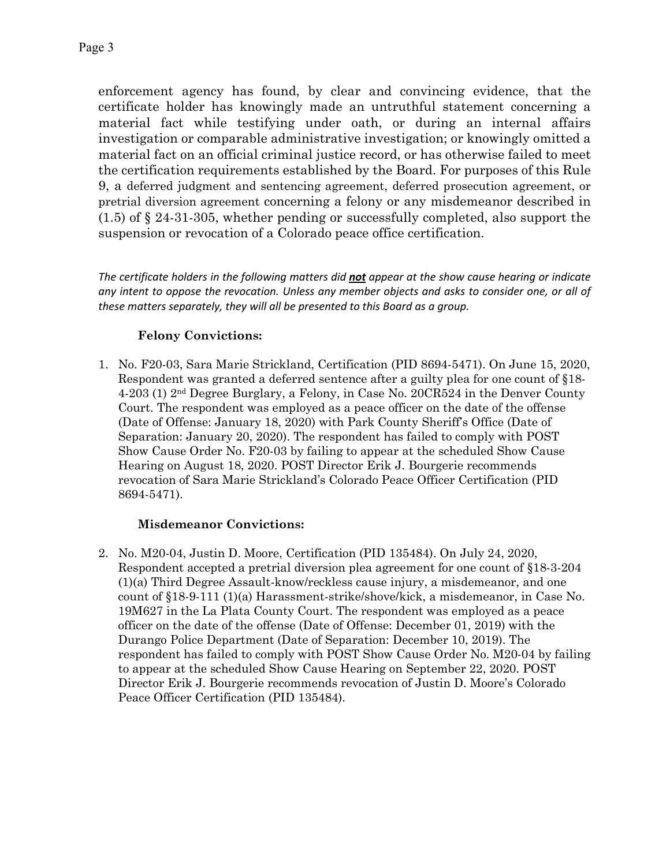enforcement agency has found, by clear and convincing evidence, that the certificate holder has knowingly made an untruthful statement concerning a material fact while testifying under oath, or during an internal affairs investigation or comparable administrative investigation; or knowingly omitted a material fact on an official criminal justice record, or has otherwise failed to meet the certification requirements established by the Board. For purposes of this Rule 9, a deferred judgment and sentencing agreement, deferred prosecution agreement, or pretrial diversion agreement concerning a felony or any misdemeanor described in (1.5) of § 24-31-305, whether pending or successfully completed, also support the suspension or revocation of a Colorado peace office certification.

*The certificate holders in the following matters did not appear at the show cause hearing or indicate any intent to oppose the revocation. Unless any member objects and asks to consider one, or all of these matters separately, they will all be presented to this Board as a group.*

#### **Felony Convictions:**

1. No. F20-03, Sara Marie Strickland, Certification (PID 8694-5471). On June 15, 2020, Respondent was granted a deferred sentence after a guilty plea for one count of §18- 4-203 (1) 2nd Degree Burglary, a Felony, in Case No. 20CR524 in the Denver County Court. The respondent was employed as a peace officer on the date of the offense (Date of Offense: January 18, 2020) with Park County Sheriff's Office (Date of Separation: January 20, 2020). The respondent has failed to comply with POST Show Cause Order No. F20-03 by failing to appear at the scheduled Show Cause Hearing on August 18, 2020. POST Director Erik J. Bourgerie recommends revocation of Sara Marie Strickland's Colorado Peace Officer Certification (PID 8694-5471).

#### **Misdemeanor Convictions:**

2. No. M20-04, Justin D. Moore, Certification (PID 135484). On July 24, 2020, Respondent accepted a pretrial diversion plea agreement for one count of §18-3-204 (1)(a) Third Degree Assault-know/reckless cause injury, a misdemeanor, and one count of §18-9-111 (1)(a) Harassment-strike/shove/kick, a misdemeanor, in Case No. 19M627 in the La Plata County Court. The respondent was employed as a peace officer on the date of the offense (Date of Offense: December 01, 2019) with the Durango Police Department (Date of Separation: December 10, 2019). The respondent has failed to comply with POST Show Cause Order No. M20-04 by failing to appear at the scheduled Show Cause Hearing on September 22, 2020. POST Director Erik J. Bourgerie recommends revocation of Justin D. Moore's Colorado Peace Officer Certification (PID 135484).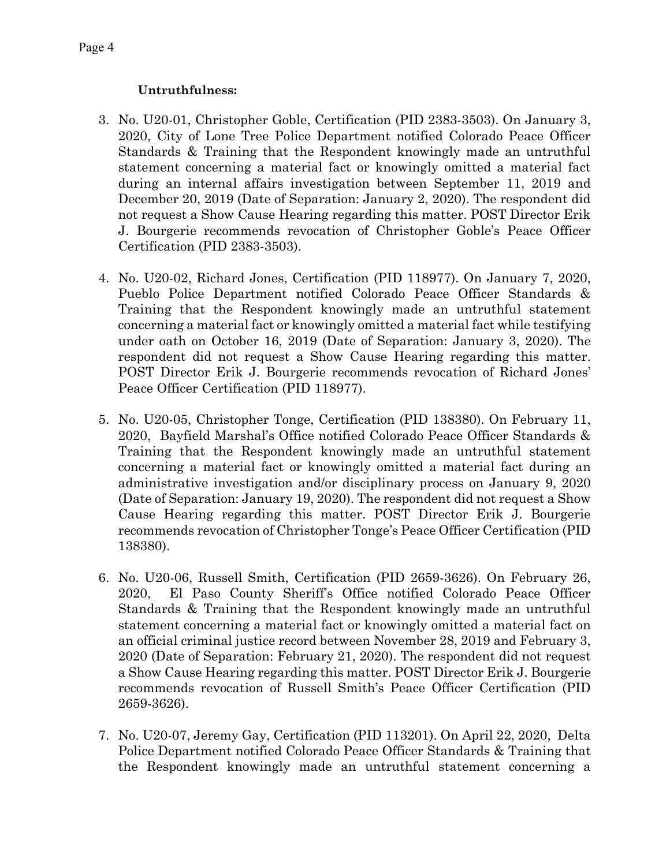#### **Untruthfulness:**

- 3. No. U20-01, Christopher Goble, Certification (PID 2383-3503). On January 3, 2020, City of Lone Tree Police Department notified Colorado Peace Officer Standards & Training that the Respondent knowingly made an untruthful statement concerning a material fact or knowingly omitted a material fact during an internal affairs investigation between September 11, 2019 and December 20, 2019 (Date of Separation: January 2, 2020). The respondent did not request a Show Cause Hearing regarding this matter. POST Director Erik J. Bourgerie recommends revocation of Christopher Goble's Peace Officer Certification (PID 2383-3503).
- 4. No. U20-02, Richard Jones, Certification (PID 118977). On January 7, 2020, Pueblo Police Department notified Colorado Peace Officer Standards & Training that the Respondent knowingly made an untruthful statement concerning a material fact or knowingly omitted a material fact while testifying under oath on October 16, 2019 (Date of Separation: January 3, 2020). The respondent did not request a Show Cause Hearing regarding this matter. POST Director Erik J. Bourgerie recommends revocation of Richard Jones' Peace Officer Certification (PID 118977).
- 5. No. U20-05, Christopher Tonge, Certification (PID 138380). On February 11, 2020, Bayfield Marshal's Office notified Colorado Peace Officer Standards & Training that the Respondent knowingly made an untruthful statement concerning a material fact or knowingly omitted a material fact during an administrative investigation and/or disciplinary process on January 9, 2020 (Date of Separation: January 19, 2020). The respondent did not request a Show Cause Hearing regarding this matter. POST Director Erik J. Bourgerie recommends revocation of Christopher Tonge's Peace Officer Certification (PID 138380).
- 6. No. U20-06, Russell Smith, Certification (PID 2659-3626). On February 26, 2020, El Paso County Sheriff's Office notified Colorado Peace Officer Standards & Training that the Respondent knowingly made an untruthful statement concerning a material fact or knowingly omitted a material fact on an official criminal justice record between November 28, 2019 and February 3, 2020 (Date of Separation: February 21, 2020). The respondent did not request a Show Cause Hearing regarding this matter. POST Director Erik J. Bourgerie recommends revocation of Russell Smith's Peace Officer Certification (PID 2659-3626).
- 7. No. U20-07, Jeremy Gay, Certification (PID 113201). On April 22, 2020, Delta Police Department notified Colorado Peace Officer Standards & Training that the Respondent knowingly made an untruthful statement concerning a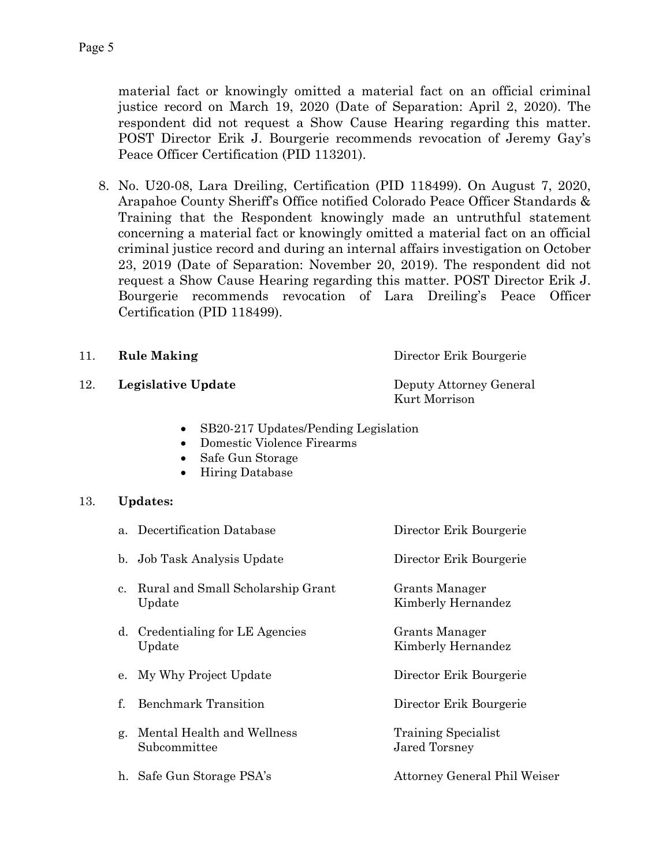material fact or knowingly omitted a material fact on an official criminal justice record on March 19, 2020 (Date of Separation: April 2, 2020). The respondent did not request a Show Cause Hearing regarding this matter. POST Director Erik J. Bourgerie recommends revocation of Jeremy Gay's Peace Officer Certification (PID 113201).

8. No. U20-08, Lara Dreiling, Certification (PID 118499). On August 7, 2020, Arapahoe County Sheriff's Office notified Colorado Peace Officer Standards & Training that the Respondent knowingly made an untruthful statement concerning a material fact or knowingly omitted a material fact on an official criminal justice record and during an internal affairs investigation on October 23, 2019 (Date of Separation: November 20, 2019). The respondent did not request a Show Cause Hearing regarding this matter. POST Director Erik J. Bourgerie recommends revocation of Lara Dreiling's Peace Officer Certification (PID 118499).

12. **Legislative Update** Deputy Attorney General

Kurt Morrison

- SB20-217 Updates/Pending Legislation
- Domestic Violence Firearms
- Safe Gun Storage
- Hiring Database

#### 13. **Updates:**

|             | a. Decertification Database                    | Director Erik Bourgerie              |
|-------------|------------------------------------------------|--------------------------------------|
|             | b. Job Task Analysis Update                    | Director Erik Bourgerie              |
|             | c. Rural and Small Scholarship Grant<br>Update | Grants Manager<br>Kimberly Hernandez |
|             | d. Credentialing for LE Agencies<br>Update     | Grants Manager<br>Kimberly Hernandez |
|             | e. My Why Project Update                       | Director Erik Bourgerie              |
| $f_{\cdot}$ | <b>Benchmark Transition</b>                    | Director Erik Bourgerie              |
|             | g. Mental Health and Wellness<br>Subcommittee  | Training Specialist<br>Jared Torsney |
|             | h. Safe Gun Storage PSA's                      | Attorney General Phil Weiser         |
|             |                                                |                                      |

# 11. **Rule Making** Director Erik Bourgerie